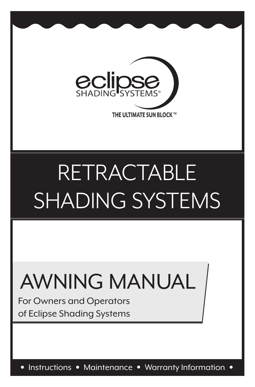

# RETRACTABLE SHADING SYSTEMS

## AWNING MANUAL

For Owners and Operators of Eclipse Shading Systems

• Instructions • Maintenance • Warranty Information •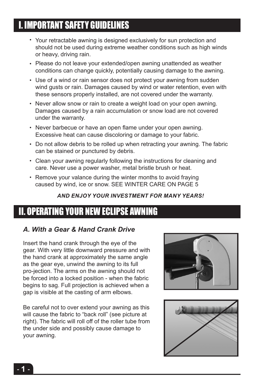## I. IMPORTANT SAFETY GUIDELINES

- Your retractable awning is designed exclusively for sun protection and should not be used during extreme weather conditions such as high winds or heavy, driving rain.
- Please do not leave your extended/open awning unattended as weather conditions can change quickly, potentially causing damage to the awning.
- Use of a wind or rain sensor does not protect your awning from sudden wind gusts or rain. Damages caused by wind or water retention, even with these sensors properly installed, are not covered under the warranty.
- Never allow snow or rain to create a weight load on your open awning. Damages caused by a rain accumulation or snow load are not covered under the warranty.
- Never barbecue or have an open flame under your open awning. Excessive heat can cause discoloring or damage to your fabric.
- Do not allow debris to be rolled up when retracting your awning. The fabric can be stained or punctured by debris.
- Clean your awning regularly following the instructions for cleaning and care. Never use a power washer, metal bristle brush or heat.
- Remove your valance during the winter months to avoid fraying caused by wind, ice or snow. SEE WINTER CARE ON PAGE 5

## *AND ENJOY YOUR INVESTMENT FOR MANY YEARS!*

## II. OPERATING YOUR NEW ECLIPSE AWNING

## *A. With a Gear & Hand Crank Drive*

Insert the hand crank through the eye of the gear. With very little downward pressure and with the hand crank at approximately the same angle as the gear eye, unwind the awning to its full pro-jection. The arms on the awning should not be forced into a locked position - when the fabric begins to sag. Full projection is achieved when a gap is visible at the casting of arm elbows.

Be careful not to over extend your awning as this will cause the fabric to "back roll" (see picture at right). The fabric will roll off of the roller tube from the under side and possibly cause damage to your awning.



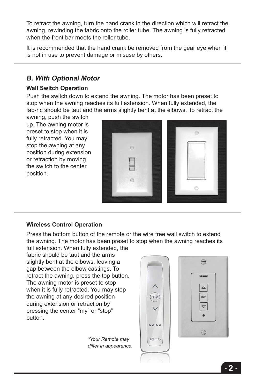To retract the awning, turn the hand crank in the direction which will retract the awning, rewinding the fabric onto the roller tube. The awning is fully retracted when the front bar meets the roller tube.

It is recommended that the hand crank be removed from the gear eye when it is not in use to prevent damage or misuse by others.

## *B. With Optional Motor*

#### **Wall Switch Operation**

Push the switch down to extend the awning. The motor has been preset to stop when the awning reaches its full extension. When fully extended, the fab-ric should be taut and the arms slightly bent at the elbows. To retract the

awning, push the switch up. The awning motor is preset to stop when it is fully retracted. You may stop the awning at any position during extension or retraction by moving the switch to the center position.



#### **Wireless Control Operation**

Press the bottom button of the remote or the wire free wall switch to extend the awning. The motor has been preset to stop when the awning reaches its full extension. When fully extended, the

fabric should be taut and the arms slightly bent at the elbows, leaving a gap between the elbow castings. To retract the awning, press the top button. The awning motor is preset to stop when it is fully retracted. You may stop the awning at any desired position during extension or retraction by pressing the center "my" or "stop" button.

> *\*Your Remote may differ in appearance.*

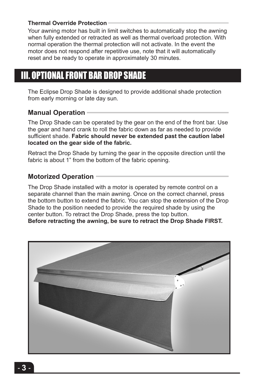#### **Thermal Override Protection**

Your awning motor has built in limit switches to automatically stop the awning when fully extended or retracted as well as thermal overload protection. With normal operation the thermal protection will not activate. In the event the motor does not respond after repetitive use, note that it will automatically reset and be ready to operate in approximately 30 minutes.

## III. OPTIONAL FRONT BAR DROP SHADE

The Eclipse Drop Shade is designed to provide additional shade protection from early morning or late day sun.

#### **Manual Operation**

The Drop Shade can be operated by the gear on the end of the front bar. Use the gear and hand crank to roll the fabric down as far as needed to provide sufficient shade. **Fabric should never be extended past the caution label located on the gear side of the fabric.**

Retract the Drop Shade by turning the gear in the opposite direction until the fabric is about 1" from the bottom of the fabric opening.

## **Motorized Operation**

The Drop Shade installed with a motor is operated by remote control on a separate channel than the main awning. Once on the correct channel, press the bottom button to extend the fabric. You can stop the extension of the Drop Shade to the position needed to provide the required shade by using the center button. To retract the Drop Shade, press the top button. **Before retracting the awning, be sure to retract the Drop Shade FIRST.**

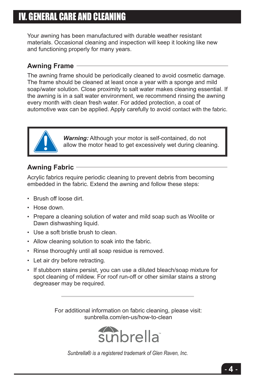## IV. GENERAL CARE AND CLEANING

Your awning has been manufactured with durable weather resistant materials. Occasional cleaning and inspection will keep it looking like new and functioning properly for many years.

## **Awning Frame**

The awning frame should be periodically cleaned to avoid cosmetic damage. The frame should be cleaned at least once a year with a sponge and mild soap/water solution. Close proximity to salt water makes cleaning essential. If the awning is in a salt water environment, we recommend rinsing the awning every month with clean fresh water. For added protection, a coat of automotive wax can be applied. Apply carefully to avoid contact with the fabric.



*Warning:* Although your motor is self-contained, do not allow the motor head to get excessively wet during cleaning.

## **Awning Fabric**

Acrylic fabrics require periodic cleaning to prevent debris from becoming embedded in the fabric. Extend the awning and follow these steps:

- Brush off loose dirt.
- Hose down.
- Prepare a cleaning solution of water and mild soap such as Woolite or Dawn dishwashing liquid.
- Use a soft bristle brush to clean.
- Allow cleaning solution to soak into the fabric.
- Rinse thoroughly until all soap residue is removed.
- Let air dry before retracting.
- If stubborn stains persist, you can use a diluted bleach/soap mixture for spot cleaning of mildew. For roof run-off or other similar stains a strong degreaser may be required.

For additional information on fabric cleaning, please visit: sunbrella.com/en-us/how-to-clean



*Sunbrella® is a registered trademark of Glen Raven, Inc.*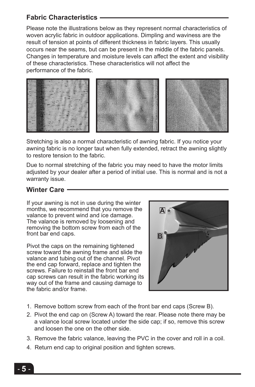## **Fabric Characteristics**

Please note the illustrations below as they represent normal characteristics of woven acrylic fabric in outdoor applications. Dimpling and waviness are the result of tension at points of different thickness in fabric layers. This usually occurs near the seams, but can be present in the middle of the fabric panels. Changes in temperature and moisture levels can affect the extent and visibility of these characteristics. These characteristics will not affect the performance of the fabric.



Stretching is also a normal characteristic of awning fabric. If you notice your awning fabric is no longer taut when fully extended, retract the awning slightly to restore tension to the fabric.

Due to normal stretching of the fabric you may need to have the motor limits adjusted by your dealer after a period of initial use. This is normal and is not a warranty issue.

## **Winter Care**

If your awning is not in use during the winter months, we recommend that you remove the valance to prevent wind and ice damage. The valance is removed by loosening and removing the bottom screw from each of the front bar end caps.

Pivot the caps on the remaining tightened screw toward the awning frame and slide the valance and tubing out of the channel. Pivot the end cap forward, replace and tighten the screws. Failure to reinstall the front bar end cap screws can result in the fabric working its way out of the frame and causing damage to the fabric and/or frame.



- 1. Remove bottom screw from each of the front bar end caps (Screw B).
- 2. Pivot the end cap on (Screw A) toward the rear. Please note there may be a valance local screw located under the side cap; if so, remove this screw and loosen the one on the other side.
- 3. Remove the fabric valance, leaving the PVC in the cover and roll in a coil.
- 4. Return end cap to original position and tighten screws.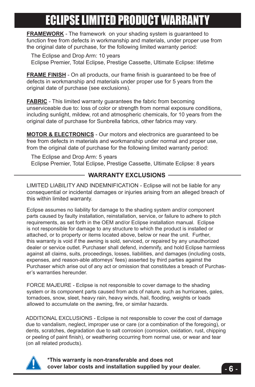## **ECLIPSE LIMITED PRODUCT WARRAN**

**FRAMEWORK** - The framework on your shading system is guaranteed to function free from defects in workmanship and materials, under proper use from the original date of purchase, for the following limited warranty period:

The Eclipse and Drop Arm: 10 years Eclipse Premier, Total Eclipse, Prestige Cassette, Ultimate Eclipse: lifetime

**FRAME FINISH** - On all products, our frame finish is guaranteed to be free of defects in workmanship and materials under proper use for 5 years from the original date of purchase (see exclusions).

**FABRIC** - This limited warranty guarantees the fabric from becoming unserviceable due to: loss of color or strength from normal exposure conditions, including sunlight, mildew, rot and atmospheric chemicals, for 10 years from the original date of purchase for Sunbrella fabrics, other fabrics may vary.

**MOTOR & ELECTRONICS** - Our motors and electronics are guaranteed to be free from defects in materials and workmanship under normal and proper use, from the original date of purchase for the following limited warranty period:

The Eclipse and Drop Arm: 5 years Eclipse Premier, Total Eclipse, Prestige Cassette, Ultimate Eclipse: 8 years

### **WARRANTY EXCLUSIONS**

LIMITED LIABILITY AND INDEMNIFICATION - Eclipse will not be liable for any consequential or incidental damages or injuries arising from an alleged breach of this within limited warranty.

Eclipse assumes no liability for damage to the shading system and/or component parts caused by faulty installation, reinstallation, service, or failure to adhere to pitch requirements, as set forth in the OEM and/or Eclipse installation manual. Eclipse is not responsible for damage to any structure to which the product is installed or attached, or to property or items located above, below or near the unit. Further, this warranty is void if the awning is sold, serviced, or repaired by any unauthorized dealer or service outlet. Purchaser shall defend, indemnify, and hold Eclipse harmless against all claims, suits, proceedings, losses, liabilities, and damages (including costs, expenses, and reason-able attorneys' fees) asserted by third parties against the Purchaser which arise out of any act or omission that constitutes a breach of Purchaser's warranties hereunder.

FORCE MAJEURE - Eclipse is not responsible to cover damage to the shading system or its component parts caused from acts of nature, such as hurricanes, gales, tornadoes, snow, sleet, heavy rain, heavy winds, hail, flooding, weights or loads allowed to accumulate on the awning, fire, or similar hazards.

ADDITIONAL EXCLUSIONS - Eclipse is not responsible to cover the cost of damage due to vandalism, neglect, improper use or care (or a combination of the foregoing), or dents, scratches, degradation due to salt corrosion (corrosion, oxidation, rust, chipping or peeling of paint finish), or weathering occurring from normal use, or wear and tear (on all related products).



**\*This warranty is non-transferable and does not cover labor costs and installation supplied by your dealer.**